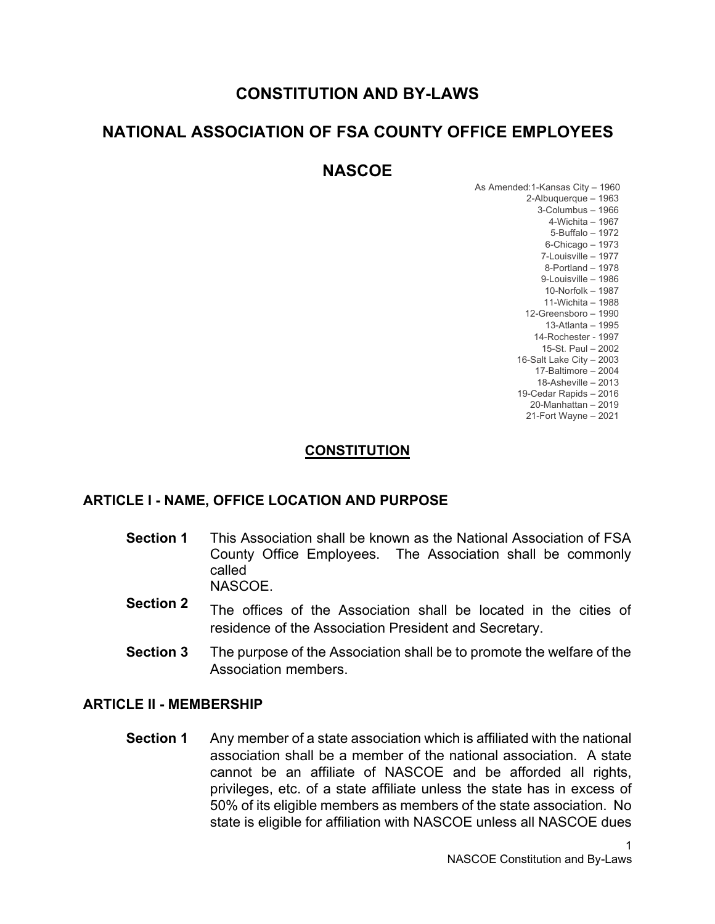# **CONSTITUTION AND BY-LAWS**

# **NATIONAL ASSOCIATION OF FSA COUNTY OFFICE EMPLOYEES**

# **NASCOE**<br>As Amended:1-Kansas City – 1960

2-Albuquerque – 1963 3-Columbus – 1966 4-Wichita – 1967 5-Buffalo – 1972 6-Chicago – 1973 7-Louisville – 1977 8-Portland – 1978 9-Louisville – 1986 10-Norfolk – 1987 11-Wichita – 1988 12-Greensboro – 1990 13-Atlanta – 1995 14-Rochester - 1997 15-St. Paul – 2002 16-Salt Lake City – 2003 17-Baltimore – 2004 18-Asheville – 2013 19-Cedar Rapids – 2016 20-Manhattan – 2019 21-Fort Wayne – 2021

# **CONSTITUTION**

#### **ARTICLE I - NAME, OFFICE LOCATION AND PURPOSE**

- **Section 1** This Association shall be known as the National Association of FSA County Office Employees. The Association shall be commonly called **NASCOE**
- **Section 2** The offices of the Association shall be located in the cities of residence of the Association President and Secretary.
- **Section 3** The purpose of the Association shall be to promote the welfare of the Association members.

#### **ARTICLE II - MEMBERSHIP**

**Section 1** Any member of a state association which is affiliated with the national association shall be a member of the national association. A state cannot be an affiliate of NASCOE and be afforded all rights, privileges, etc. of a state affiliate unless the state has in excess of 50% of its eligible members as members of the state association. No state is eligible for affiliation with NASCOE unless all NASCOE dues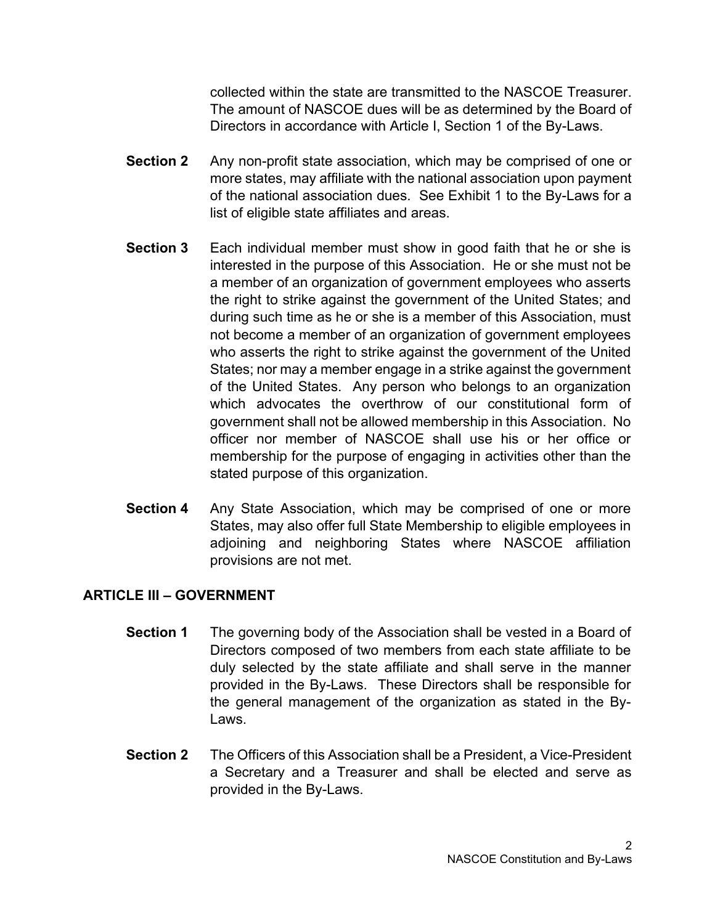collected within the state are transmitted to the NASCOE Treasurer. The amount of NASCOE dues will be as determined by the Board of Directors in accordance with Article I, Section 1 of the By-Laws.

- **Section 2** Any non-profit state association, which may be comprised of one or more states, may affiliate with the national association upon payment of the national association dues. See Exhibit 1 to the By-Laws for a list of eligible state affiliates and areas.
- **Section 3** Each individual member must show in good faith that he or she is interested in the purpose of this Association. He or she must not be a member of an organization of government employees who asserts the right to strike against the government of the United States; and during such time as he or she is a member of this Association, must not become a member of an organization of government employees who asserts the right to strike against the government of the United States; nor may a member engage in a strike against the government of the United States. Any person who belongs to an organization which advocates the overthrow of our constitutional form of government shall not be allowed membership in this Association. No officer nor member of NASCOE shall use his or her office or membership for the purpose of engaging in activities other than the stated purpose of this organization.
- **Section 4** Any State Association, which may be comprised of one or more States, may also offer full State Membership to eligible employees in adjoining and neighboring States where NASCOE affiliation provisions are not met.

# **ARTICLE III – GOVERNMENT**

- **Section 1** The governing body of the Association shall be vested in a Board of Directors composed of two members from each state affiliate to be duly selected by the state affiliate and shall serve in the manner provided in the By-Laws. These Directors shall be responsible for the general management of the organization as stated in the By-Laws.
- **Section 2** The Officers of this Association shall be a President, a Vice-President a Secretary and a Treasurer and shall be elected and serve as provided in the By-Laws.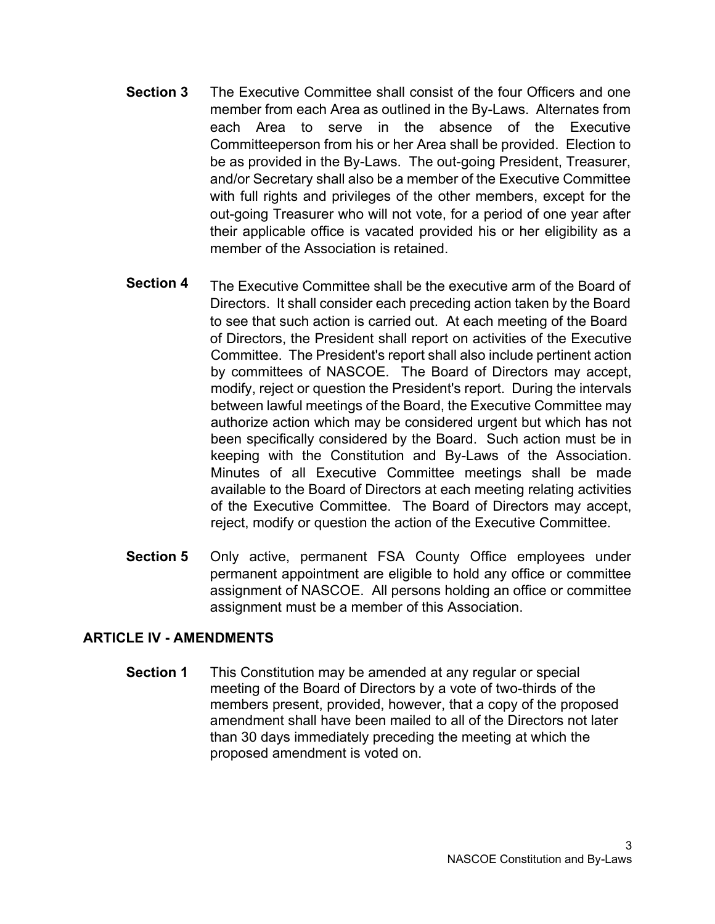- **Section 3** The Executive Committee shall consist of the four Officers and one member from each Area as outlined in the By-Laws. Alternates from each Area to serve in the absence of the Executive Committeeperson from his or her Area shall be provided. Election to be as provided in the By-Laws. The out-going President, Treasurer, and/or Secretary shall also be a member of the Executive Committee with full rights and privileges of the other members, except for the out-going Treasurer who will not vote, for a period of one year after their applicable office is vacated provided his or her eligibility as a member of the Association is retained.
- **Section 4** The Executive Committee shall be the executive arm of the Board of Directors. It shall consider each preceding action taken by the Board to see that such action is carried out. At each meeting of the Board of Directors, the President shall report on activities of the Executive Committee. The President's report shall also include pertinent action by committees of NASCOE. The Board of Directors may accept, modify, reject or question the President's report. During the intervals between lawful meetings of the Board, the Executive Committee may authorize action which may be considered urgent but which has not been specifically considered by the Board. Such action must be in keeping with the Constitution and By-Laws of the Association. Minutes of all Executive Committee meetings shall be made available to the Board of Directors at each meeting relating activities of the Executive Committee. The Board of Directors may accept, reject, modify or question the action of the Executive Committee.
- **Section 5** Only active, permanent FSA County Office employees under permanent appointment are eligible to hold any office or committee assignment of NASCOE. All persons holding an office or committee assignment must be a member of this Association.

#### **ARTICLE IV - AMENDMENTS**

**Section 1** This Constitution may be amended at any regular or special meeting of the Board of Directors by a vote of two-thirds of the members present, provided, however, that a copy of the proposed amendment shall have been mailed to all of the Directors not later than 30 days immediately preceding the meeting at which the proposed amendment is voted on.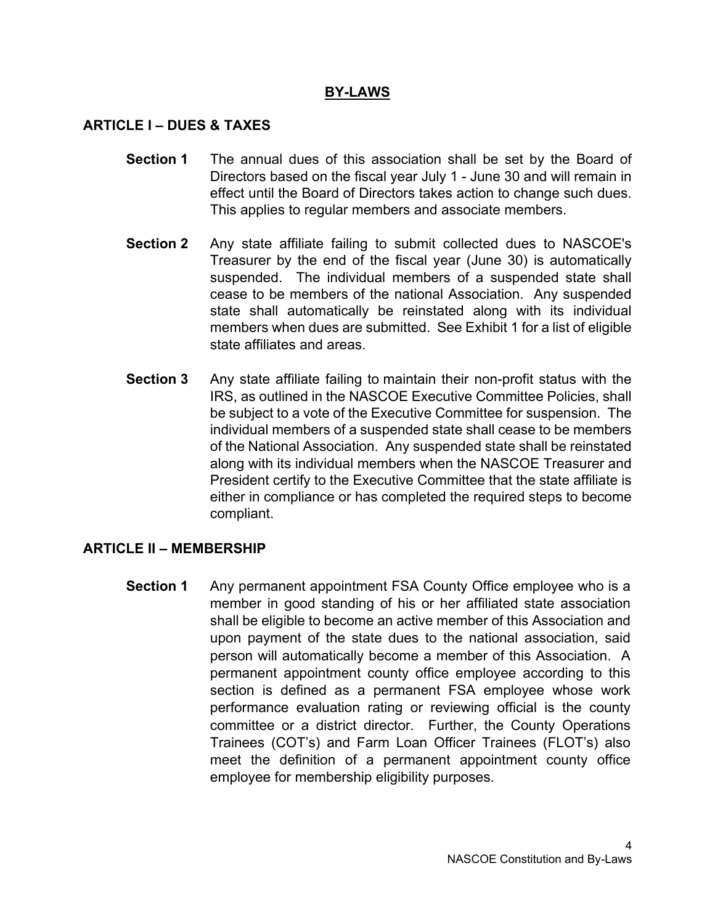#### **BY-LAWS**

### **ARTICLE I – DUES & TAXES**

- **Section 1** The annual dues of this association shall be set by the Board of Directors based on the fiscal year July 1 - June 30 and will remain in effect until the Board of Directors takes action to change such dues. This applies to regular members and associate members.
- **Section 2** Any state affiliate failing to submit collected dues to NASCOE's Treasurer by the end of the fiscal year (June 30) is automatically suspended. The individual members of a suspended state shall cease to be members of the national Association. Any suspended state shall automatically be reinstated along with its individual members when dues are submitted. See Exhibit 1 for a list of eligible state affiliates and areas.
- **Section 3** Any state affiliate failing to maintain their non-profit status with the IRS, as outlined in the NASCOE Executive Committee Policies, shall be subject to a vote of the Executive Committee for suspension. The individual members of a suspended state shall cease to be members of the National Association. Any suspended state shall be reinstated along with its individual members when the NASCOE Treasurer and President certify to the Executive Committee that the state affiliate is either in compliance or has completed the required steps to become compliant.

#### **ARTICLE II – MEMBERSHIP**

**Section 1** Any permanent appointment FSA County Office employee who is a member in good standing of his or her affiliated state association shall be eligible to become an active member of this Association and upon payment of the state dues to the national association, said person will automatically become a member of this Association. A permanent appointment county office employee according to this section is defined as a permanent FSA employee whose work performance evaluation rating or reviewing official is the county committee or a district director. Further, the County Operations Trainees (COT's) and Farm Loan Officer Trainees (FLOT's) also meet the definition of a permanent appointment county office employee for membership eligibility purposes.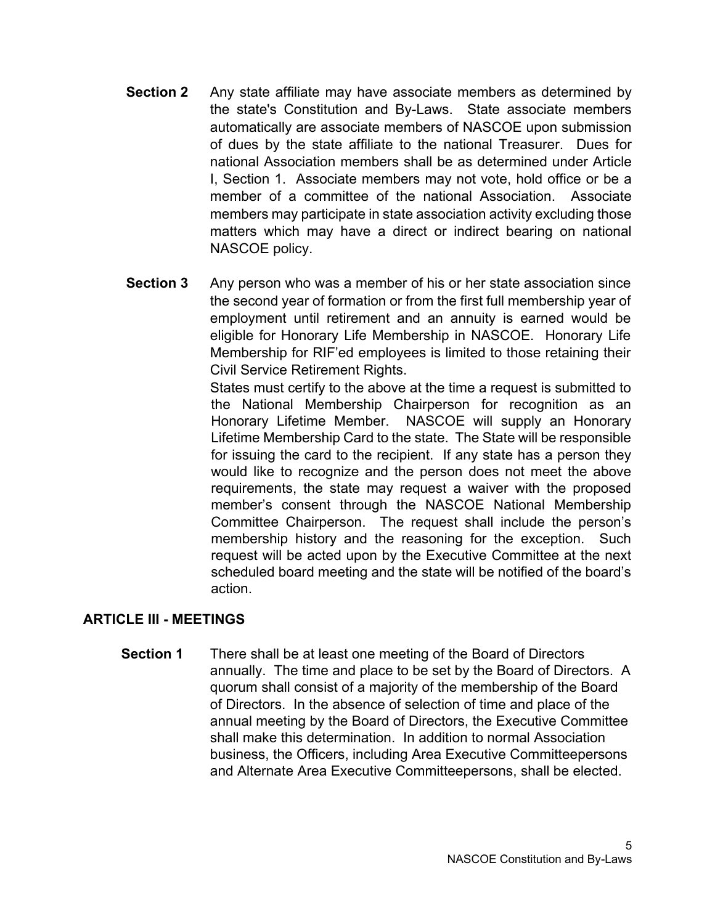- **Section 2** Any state affiliate may have associate members as determined by the state's Constitution and By-Laws. State associate members automatically are associate members of NASCOE upon submission of dues by the state affiliate to the national Treasurer. Dues for national Association members shall be as determined under Article I, Section 1. Associate members may not vote, hold office or be a member of a committee of the national Association. Associate members may participate in state association activity excluding those matters which may have a direct or indirect bearing on national NASCOE policy.
- **Section 3** Any person who was a member of his or her state association since the second year of formation or from the first full membership year of employment until retirement and an annuity is earned would be eligible for Honorary Life Membership in NASCOE. Honorary Life Membership for RIF'ed employees is limited to those retaining their Civil Service Retirement Rights.

States must certify to the above at the time a request is submitted to the National Membership Chairperson for recognition as an Honorary Lifetime Member. NASCOE will supply an Honorary Lifetime Membership Card to the state. The State will be responsible for issuing the card to the recipient. If any state has a person they would like to recognize and the person does not meet the above requirements, the state may request a waiver with the proposed member's consent through the NASCOE National Membership Committee Chairperson. The request shall include the person's membership history and the reasoning for the exception. Such request will be acted upon by the Executive Committee at the next scheduled board meeting and the state will be notified of the board's action.

#### **ARTICLE III - MEETINGS**

**Section 1** There shall be at least one meeting of the Board of Directors annually. The time and place to be set by the Board of Directors. A quorum shall consist of a majority of the membership of the Board of Directors. In the absence of selection of time and place of the annual meeting by the Board of Directors, the Executive Committee shall make this determination. In addition to normal Association business, the Officers, including Area Executive Committeepersons and Alternate Area Executive Committeepersons, shall be elected.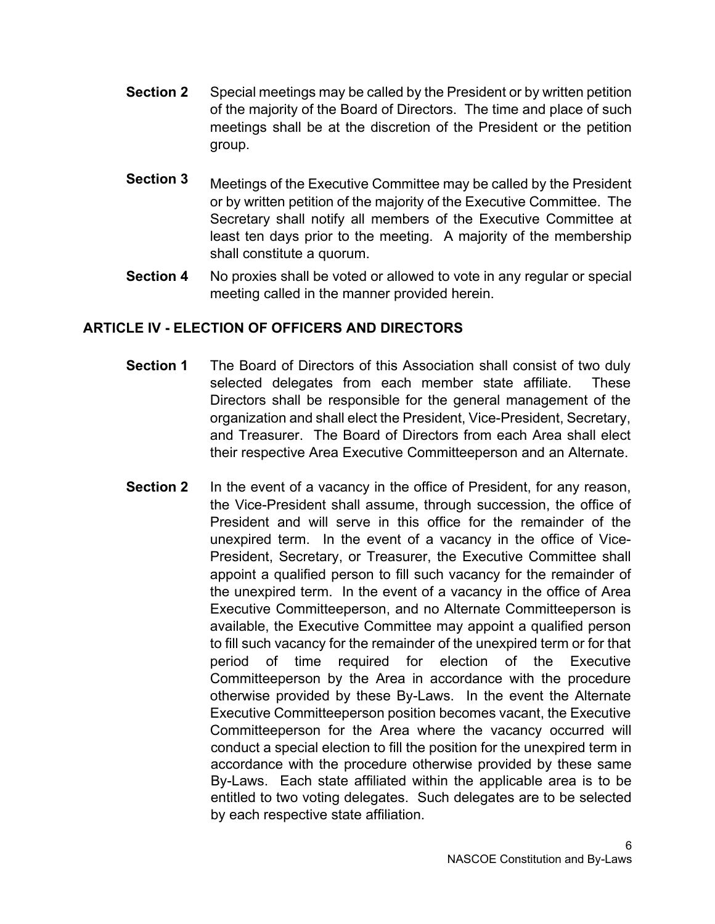- **Section 2** Special meetings may be called by the President or by written petition of the majority of the Board of Directors. The time and place of such meetings shall be at the discretion of the President or the petition group.
- **Section 3** Meetings of the Executive Committee may be called by the President or by written petition of the majority of the Executive Committee. The Secretary shall notify all members of the Executive Committee at least ten days prior to the meeting. A majority of the membership shall constitute a quorum.
- **Section 4** No proxies shall be voted or allowed to vote in any regular or special meeting called in the manner provided herein.

# **ARTICLE IV - ELECTION OF OFFICERS AND DIRECTORS**

- **Section 1** The Board of Directors of this Association shall consist of two duly selected delegates from each member state affiliate. These Directors shall be responsible for the general management of the organization and shall elect the President, Vice-President, Secretary, and Treasurer. The Board of Directors from each Area shall elect their respective Area Executive Committeeperson and an Alternate.
- **Section 2** In the event of a vacancy in the office of President, for any reason, the Vice-President shall assume, through succession, the office of President and will serve in this office for the remainder of the unexpired term. In the event of a vacancy in the office of Vice-President, Secretary, or Treasurer, the Executive Committee shall appoint a qualified person to fill such vacancy for the remainder of the unexpired term. In the event of a vacancy in the office of Area Executive Committeeperson, and no Alternate Committeeperson is available, the Executive Committee may appoint a qualified person to fill such vacancy for the remainder of the unexpired term or for that period of time required for election of the Executive Committeeperson by the Area in accordance with the procedure otherwise provided by these By-Laws. In the event the Alternate Executive Committeeperson position becomes vacant, the Executive Committeeperson for the Area where the vacancy occurred will conduct a special election to fill the position for the unexpired term in accordance with the procedure otherwise provided by these same By-Laws. Each state affiliated within the applicable area is to be entitled to two voting delegates. Such delegates are to be selected by each respective state affiliation.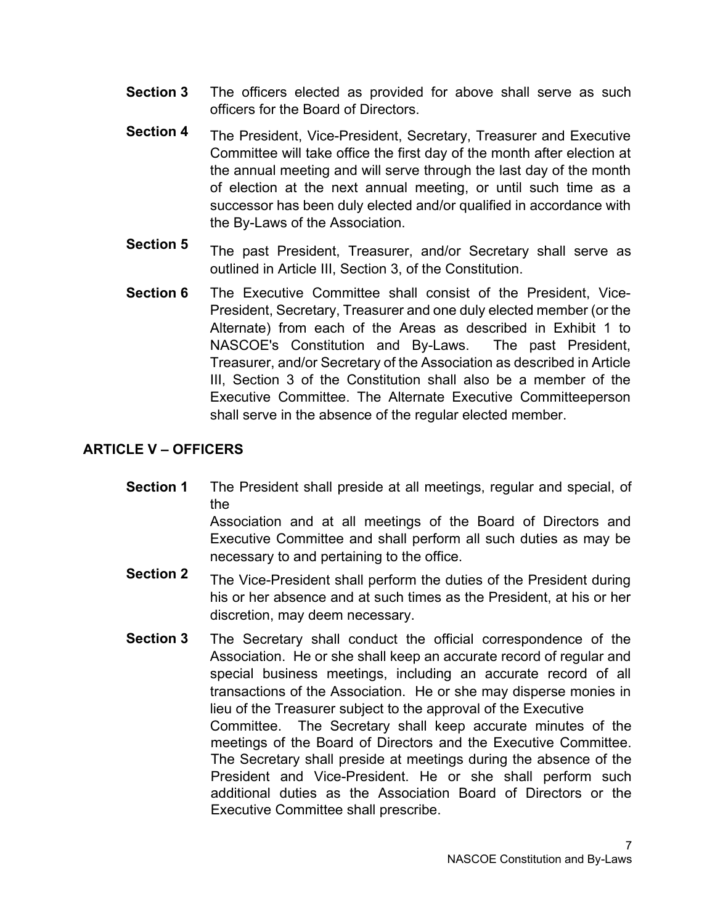- **Section 3** The officers elected as provided for above shall serve as such officers for the Board of Directors.
- **Section 4** The President, Vice-President, Secretary, Treasurer and Executive Committee will take office the first day of the month after election at the annual meeting and will serve through the last day of the month of election at the next annual meeting, or until such time as a successor has been duly elected and/or qualified in accordance with the By-Laws of the Association.
- **Section 5** The past President, Treasurer, and/or Secretary shall serve as outlined in Article III, Section 3, of the Constitution.
- **Section 6** The Executive Committee shall consist of the President, Vice-President, Secretary, Treasurer and one duly elected member (or the Alternate) from each of the Areas as described in Exhibit 1 to NASCOE's Constitution and By-Laws. The past President, Treasurer, and/or Secretary of the Association as described in Article III, Section 3 of the Constitution shall also be a member of the Executive Committee. The Alternate Executive Committeeperson shall serve in the absence of the regular elected member.

# **ARTICLE V – OFFICERS**

**Section 1** The President shall preside at all meetings, regular and special, of the

Association and at all meetings of the Board of Directors and Executive Committee and shall perform all such duties as may be necessary to and pertaining to the office.

- **Section 2** The Vice-President shall perform the duties of the President during his or her absence and at such times as the President, at his or her discretion, may deem necessary.
- **Section 3** The Secretary shall conduct the official correspondence of the Association. He or she shall keep an accurate record of regular and special business meetings, including an accurate record of all transactions of the Association. He or she may disperse monies in lieu of the Treasurer subject to the approval of the Executive Committee. The Secretary shall keep accurate minutes of the meetings of the Board of Directors and the Executive Committee. The Secretary shall preside at meetings during the absence of the President and Vice-President. He or she shall perform such additional duties as the Association Board of Directors or the Executive Committee shall prescribe.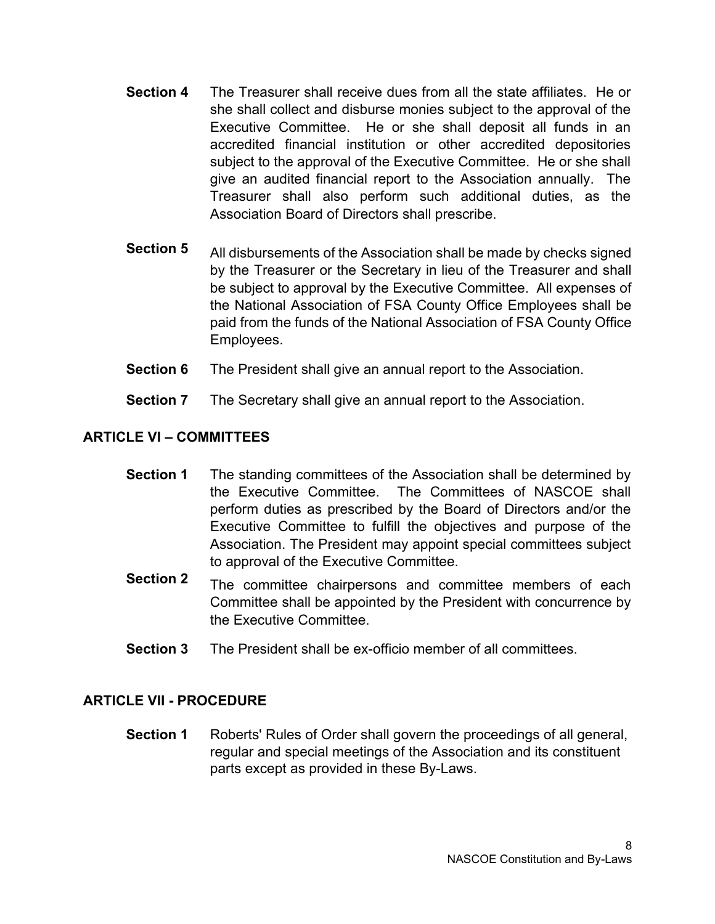- **Section 4** The Treasurer shall receive dues from all the state affiliates. He or she shall collect and disburse monies subject to the approval of the Executive Committee. He or she shall deposit all funds in an accredited financial institution or other accredited depositories subject to the approval of the Executive Committee. He or she shall give an audited financial report to the Association annually. The Treasurer shall also perform such additional duties, as the Association Board of Directors shall prescribe.
- **Section 5** All disbursements of the Association shall be made by checks signed by the Treasurer or the Secretary in lieu of the Treasurer and shall be subject to approval by the Executive Committee. All expenses of the National Association of FSA County Office Employees shall be paid from the funds of the National Association of FSA County Office Employees.
- **Section 6** The President shall give an annual report to the Association.
- **Section 7** The Secretary shall give an annual report to the Association.

#### **ARTICLE VI – COMMITTEES**

- **Section 1** The standing committees of the Association shall be determined by the Executive Committee. The Committees of NASCOE shall perform duties as prescribed by the Board of Directors and/or the Executive Committee to fulfill the objectives and purpose of the Association. The President may appoint special committees subject to approval of the Executive Committee.
- **Section 2** The committee chairpersons and committee members of each Committee shall be appointed by the President with concurrence by the Executive Committee.
- **Section 3** The President shall be ex-officio member of all committees.

#### **ARTICLE VII - PROCEDURE**

**Section 1** Roberts' Rules of Order shall govern the proceedings of all general, regular and special meetings of the Association and its constituent parts except as provided in these By-Laws.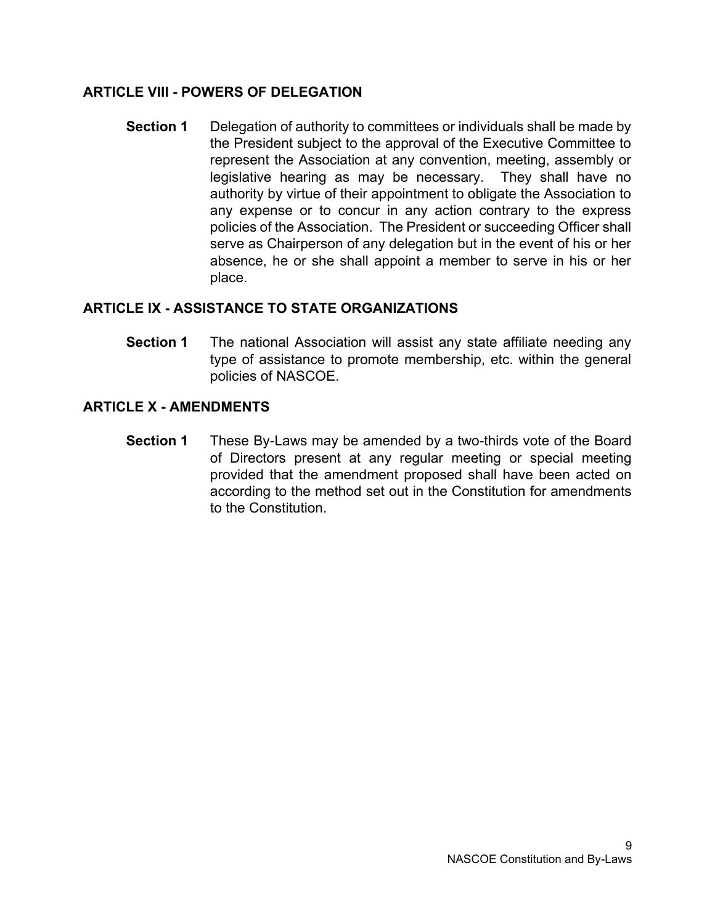# **ARTICLE VIII - POWERS OF DELEGATION**

**Section 1** Delegation of authority to committees or individuals shall be made by the President subject to the approval of the Executive Committee to represent the Association at any convention, meeting, assembly or legislative hearing as may be necessary. They shall have no authority by virtue of their appointment to obligate the Association to any expense or to concur in any action contrary to the express policies of the Association. The President or succeeding Officer shall serve as Chairperson of any delegation but in the event of his or her absence, he or she shall appoint a member to serve in his or her place.

# **ARTICLE IX - ASSISTANCE TO STATE ORGANIZATIONS**

**Section 1** The national Association will assist any state affiliate needing any type of assistance to promote membership, etc. within the general policies of NASCOE.

# **ARTICLE X - AMENDMENTS**

**Section 1** These By-Laws may be amended by a two-thirds vote of the Board of Directors present at any regular meeting or special meeting provided that the amendment proposed shall have been acted on according to the method set out in the Constitution for amendments to the Constitution.